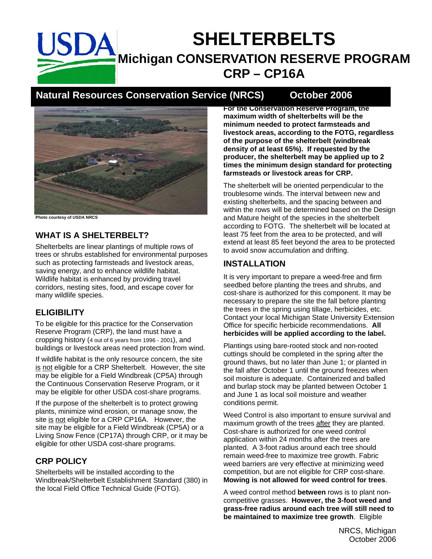# **SHELTERBELTS**  SDA **Michigan CONSERVATION RESERVE PROGRAM CRP – CP16A**

# **Natural Resources Conservation Service (NRCS) October 2006**



**Photo courtesy of USDA NRCS** 

#### **WHAT IS A SHELTERBELT?**

Shelterbelts are linear plantings of multiple rows of trees or shrubs established for environmental purposes such as protecting farmsteads and livestock areas, saving energy, and to enhance wildlife habitat. Wildlife habitat is enhanced by providing travel corridors, nesting sites, food, and escape cover for many wildlife species.

#### **ELIGIBILITY**

To be eligible for this practice for the Conservation Reserve Program (CRP), the land must have a cropping history (4 out of 6 years from 1996 - 2001), and buildings or livestock areas need protection from wind.

If wildlife habitat is the only resource concern, the site is not eligible for a CRP Shelterbelt. However, the site may be eligible for a Field Windbreak (CP5A) through the Continuous Conservation Reserve Program, or it may be eligible for other USDA cost-share programs.

If the purpose of the shelterbelt is to protect growing plants, minimize wind erosion, or manage snow, the site is not eligible for a CRP CP16A. However, the site may be eligible for a Field Windbreak (CP5A) or a Living Snow Fence (CP17A) through CRP, or it may be eligible for other USDA cost-share programs.

### **CRP POLICY**

Shelterbelts will be installed according to the Windbreak/Shelterbelt Establishment Standard (380) in the local Field Office Technical Guide (FOTG).

**For the Conservation Reserve Program, the maximum width of shelterbelts will be the minimum needed to protect farmsteads and livestock areas, according to the FOTG, regardless of the purpose of the shelterbelt (windbreak density of at least 65%). If requested by the producer, the shelterbelt may be applied up to 2 times the minimum design standard for protecting farmsteads or livestock areas for CRP.** 

The shelterbelt will be oriented perpendicular to the troublesome winds. The interval between new and existing shelterbelts, and the spacing between and within the rows will be determined based on the Design and Mature height of the species in the shelterbelt according to FOTG. The shelterbelt will be located at least 75 feet from the area to be protected, and will extend at least 85 feet beyond the area to be protected to avoid snow accumulation and drifting.

#### **INSTALLATION**

It is very important to prepare a weed-free and firm seedbed before planting the trees and shrubs, and cost-share is authorized for this component. It may be necessary to prepare the site the fall before planting the trees in the spring using tillage, herbicides, etc. Contact your local Michigan State University Extension Office for specific herbicide recommendations. **All herbicides will be applied according to the label.**

Plantings using bare-rooted stock and non-rooted cuttings should be completed in the spring after the ground thaws, but no later than June 1; or planted in the fall after October 1 until the ground freezes when soil moisture is adequate. Containerized and balled and burlap stock may be planted between October 1 and June 1 as local soil moisture and weather conditions permit.

Weed Control is also important to ensure survival and maximum growth of the trees after they are planted. Cost-share is authorized for one weed control application within 24 months after the trees are planted. A 3-foot radius around each tree should remain weed-free to maximize tree growth. Fabric weed barriers are very effective at minimizing weed competition, but are not eligible for CRP cost-share. **Mowing is not allowed for weed control for trees**.

A weed control method **between** rows is to plant noncompetitive grasses. **However, the 3-foot weed and grass-free radius around each tree will still need to be maintained to maximize tree growth**. Eligible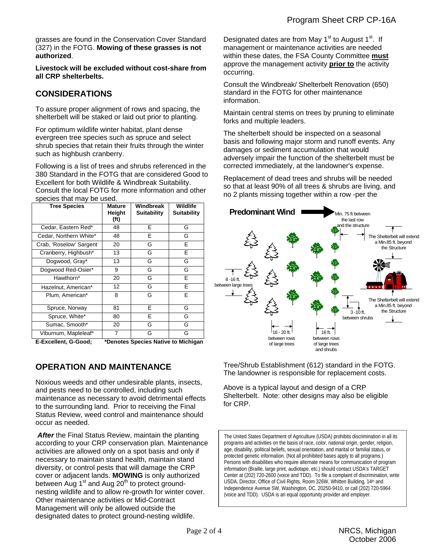grasses are found in the Conservation Cover Standard (327) in the FOTG. **Mowing of these grasses is not authorized**.

**Livestock will be excluded without cost-share from all CRP shelterbelts.** 

#### **CONSIDERATIONS**

To assure proper alignment of rows and spacing, the shelterbelt will be staked or laid out prior to planting.

For optimum wildlife winter habitat, plant dense evergreen tree species such as spruce and select shrub species that retain their fruits through the winter such as highbush cranberry.

Following is a list of trees and shrubs referenced in the 380 Standard in the FOTG that are considered Good to Excellent for both Wildlife & Windbreak Suitability.

| Consult the local FOTG for more information and other |  |  |
|-------------------------------------------------------|--|--|
| species that may be used.                             |  |  |

| <b>Tree Species</b>     | <b>Mature</b><br>Height<br>(f <sub>t</sub> ) | Windbreak<br><b>Suitability</b> | Wildlife<br><b>Suitability</b> |
|-------------------------|----------------------------------------------|---------------------------------|--------------------------------|
| Cedar, Eastern Red*     | 48                                           | F                               | G                              |
| Cedar, Northern White*  | 48                                           | E                               | G                              |
| Crab, 'Roselow' Sargent | 20                                           | G                               | E                              |
| Cranberry, Highbush*    | 13                                           | G                               | E                              |
| Dogwood, Gray*          | 13                                           | G                               | G                              |
| Dogwood Red-Osier*      | 9                                            | G                               | G                              |
| Hawthorn*               | 20                                           | G                               | F                              |
| Hazelnut, American*     | 12                                           | G                               | E                              |
| Plum. American*         | 8                                            | G                               | E                              |
| Spruce, Norway          | 81                                           | F                               | G                              |
| Spruce, White*          | 80                                           | E                               | G                              |
| Sumac, Smooth*          | 20                                           | G                               | G                              |
| Viburnum, Mapleleaf*    | 7                                            | G                               | G                              |

### **OPERATION AND MAINTENANCE**

Noxious weeds and other undesirable plants, insects, and pests need to be controlled, including such maintenance as necessary to avoid detrimental effects to the surrounding land. Prior to receiving the Final Status Review, weed control and maintenance should occur as needed.

 *After* the Final Status Review, maintain the planting according to your CRP conservation plan. Maintenance activities are allowed only on a spot basis and only if necessary to maintain stand health, maintain stand diversity, or control pests that will damage the CRP cover or adjacent lands. **MOWING** is only authorized between Aug 1<sup>st</sup> and Aug 20<sup>th</sup> to protect groundnesting wildlife and to allow re-growth for winter cover. Other maintenance activities or Mid-Contract Management will only be allowed outside the designated dates to protect ground-nesting wildlife.

Designated dates are from May  $1<sup>st</sup>$  to August  $1<sup>st</sup>$ . If management or maintenance activities are needed within these dates, the FSA County Committee **must** approve the management activity **prior to** the activity occurring.

Consult the Windbreak/ Shelterbelt Renovation (650) standard in the FOTG for other maintenance information.

Maintain central stems on trees by pruning to eliminate forks and multiple leaders.

The shelterbelt should be inspected on a seasonal basis and following major storm and runoff events. Any damages or sediment accumulation that would adversely impair the function of the shelterbelt must be corrected immediately, at the landowner's expense.

Replacement of dead trees and shrubs will be needed so that at least 90% of all trees & shrubs are living, and no 2 plants missing together within a row -per the



Tree/Shrub Establishment (612) standard in the FOTG. The landowner is responsible for replacement costs.

Above is a typical layout and design of a CRP Shelterbelt. Note: other designs may also be eligible for CRP.

The United States Department of Agriculture (USDA) prohibits discrimination in all its programs and activities on the basis of race, color, national origin, gender, religion, age, disability, political beliefs, sexual orientation, and marital or familial status, or protected genetic information. (Not all prohibited bases apply to all programs.) Persons with disabilities who require alternate means for communication of program information (Braille, large print, audiotape, etc.) should contact USDA's TARGET Center at (202) 720-2600 (voice and TDD). To file a complaint of discrimination, write USDA, Director, Office of Civil Rights, Room 326W, Whitten Building, 14<sup>th</sup> and Independence Avenue SW, Washington, DC, 20250-9410, or call (202) 720-5964 (voice and TDD). USDA is an equal opportunity provider and employer.

**E-Excellent, G-Good; \*Denotes Species Native to Michigan**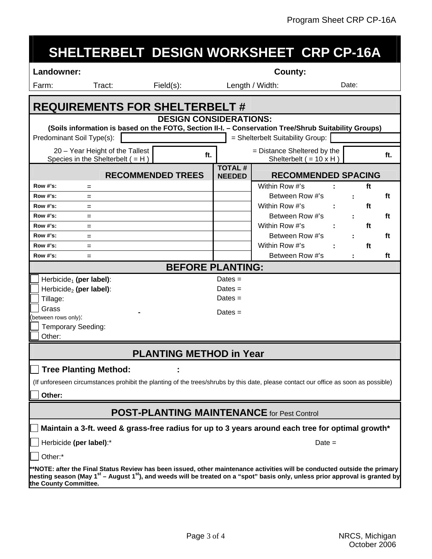|  | SHELTERBELT DESIGN WORKSHEET CRP CP-16A |  |
|--|-----------------------------------------|--|
|  |                                         |  |
|  |                                         |  |

#### Landowner: **County: County: County: County: County:**

**the County Committee.**

Farm: Tract: Field(s): Length / Width: Date:

|                                                                                                                                                                                                                                                                                    | <b>REQUIREMENTS FOR SHELTERBELT#</b>                                                             |                                                               |                      |     |  |  |  |
|------------------------------------------------------------------------------------------------------------------------------------------------------------------------------------------------------------------------------------------------------------------------------------|--------------------------------------------------------------------------------------------------|---------------------------------------------------------------|----------------------|-----|--|--|--|
| <b>DESIGN CONSIDERATIONS:</b>                                                                                                                                                                                                                                                      |                                                                                                  |                                                               |                      |     |  |  |  |
| (Soils information is based on the FOTG, Section II-I. - Conservation Tree/Shrub Suitability Groups)<br>Predominant Soil Type(s):                                                                                                                                                  |                                                                                                  | = Shelterbelt Suitability Group:                              |                      |     |  |  |  |
|                                                                                                                                                                                                                                                                                    |                                                                                                  |                                                               |                      |     |  |  |  |
| 20 - Year Height of the Tallest<br>ft.<br>Species in the Shelterbelt $( = H )$                                                                                                                                                                                                     |                                                                                                  | = Distance Sheltered by the<br>Shelterbelt $( = 10 \times H)$ |                      | ft. |  |  |  |
| <b>RECOMMENDED TREES</b>                                                                                                                                                                                                                                                           | <b>TOTAL#</b><br><b>NEEDED</b>                                                                   | <b>RECOMMENDED SPACING</b>                                    |                      |     |  |  |  |
| $Row$ #'s:<br>$=$                                                                                                                                                                                                                                                                  |                                                                                                  | Within Row #'s                                                |                      | ft  |  |  |  |
| Row #'s:<br>$=$                                                                                                                                                                                                                                                                    |                                                                                                  | Between Row #'s                                               | $\ddot{\cdot}$       | ft  |  |  |  |
| <b>Row #'s:</b><br>$=$                                                                                                                                                                                                                                                             |                                                                                                  | Within Row #'s                                                |                      | ft  |  |  |  |
| Row #'s:<br>$=$                                                                                                                                                                                                                                                                    |                                                                                                  | Between Row #'s                                               | $\ddot{\phantom{a}}$ | ft  |  |  |  |
| <b>Row #'s:</b><br>$=$                                                                                                                                                                                                                                                             |                                                                                                  | Within Row #'s                                                |                      | ft  |  |  |  |
| <b>Row #'s:</b><br>$=$                                                                                                                                                                                                                                                             |                                                                                                  | Between Row #'s                                               | $\ddot{\phantom{a}}$ | ft  |  |  |  |
| <b>Row #'s:</b><br>$=$                                                                                                                                                                                                                                                             |                                                                                                  | Within Row #'s                                                |                      | ft  |  |  |  |
| <b>Row #'s:</b><br>$=$                                                                                                                                                                                                                                                             |                                                                                                  | Between Row #'s                                               |                      | ft  |  |  |  |
| <b>BEFORE PLANTING:</b>                                                                                                                                                                                                                                                            |                                                                                                  |                                                               |                      |     |  |  |  |
| Herbicide <sub>1</sub> (per label):                                                                                                                                                                                                                                                | Dates $=$                                                                                        |                                                               |                      |     |  |  |  |
| Herbicide <sub>2</sub> (per label):                                                                                                                                                                                                                                                | Dates $=$                                                                                        |                                                               |                      |     |  |  |  |
| Tillage:                                                                                                                                                                                                                                                                           | Dates $=$                                                                                        |                                                               |                      |     |  |  |  |
| Grass                                                                                                                                                                                                                                                                              | Dates $=$                                                                                        |                                                               |                      |     |  |  |  |
| between rows only):                                                                                                                                                                                                                                                                |                                                                                                  |                                                               |                      |     |  |  |  |
| <b>Temporary Seeding:</b>                                                                                                                                                                                                                                                          |                                                                                                  |                                                               |                      |     |  |  |  |
| Other:                                                                                                                                                                                                                                                                             |                                                                                                  |                                                               |                      |     |  |  |  |
| <b>PLANTING METHOD in Year</b>                                                                                                                                                                                                                                                     |                                                                                                  |                                                               |                      |     |  |  |  |
| <b>Tree Planting Method:</b>                                                                                                                                                                                                                                                       |                                                                                                  |                                                               |                      |     |  |  |  |
| (If unforeseen circumstances prohibit the planting of the trees/shrubs by this date, please contact our office as soon as possible)                                                                                                                                                |                                                                                                  |                                                               |                      |     |  |  |  |
| Other:                                                                                                                                                                                                                                                                             |                                                                                                  |                                                               |                      |     |  |  |  |
| <b>POST-PLANTING MAINTENANCE</b> for Pest Control                                                                                                                                                                                                                                  |                                                                                                  |                                                               |                      |     |  |  |  |
|                                                                                                                                                                                                                                                                                    | Maintain a 3-ft. weed & grass-free radius for up to 3 years around each tree for optimal growth* |                                                               |                      |     |  |  |  |
| Herbicide (per label):*                                                                                                                                                                                                                                                            |                                                                                                  | $Date =$                                                      |                      |     |  |  |  |
| Other:*                                                                                                                                                                                                                                                                            |                                                                                                  |                                                               |                      |     |  |  |  |
| **NOTE: after the Final Status Review has been issued, other maintenance activities will be conducted outside the primary<br>nesting season (May 1 <sup>st</sup> – August 1 <sup>st</sup> ), and weeds will be treated on a "spot" basis only, unless prior approval is granted by |                                                                                                  |                                                               |                      |     |  |  |  |